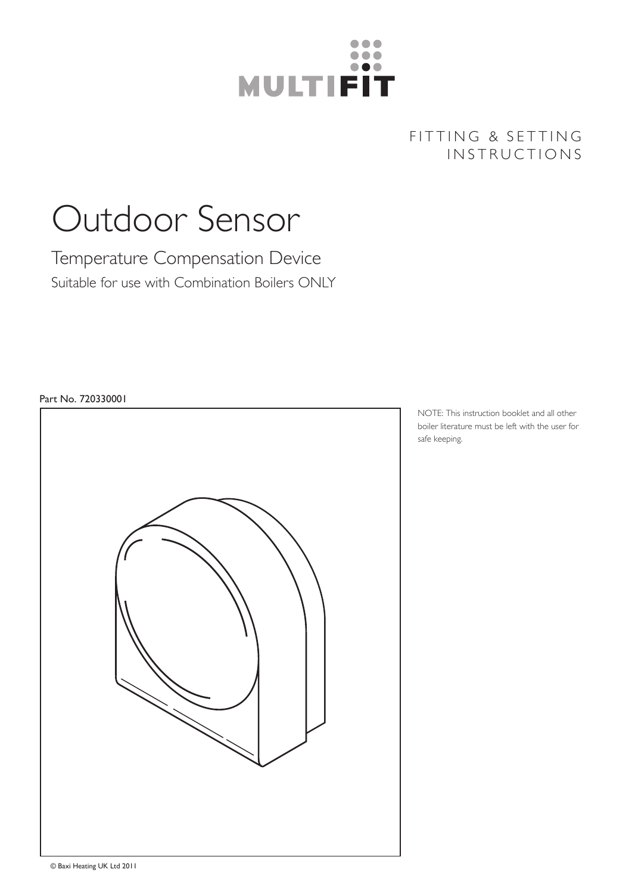

# FITTING & SETTING INSTRUCTIONS

# Outdoor Sensor

Temperature Compensation Device Suitable for use with Combination Boilers ONLY

# Part No. 720330001



NOTE: This instruction booklet and all other boiler literature must be left with the user for safe keeping.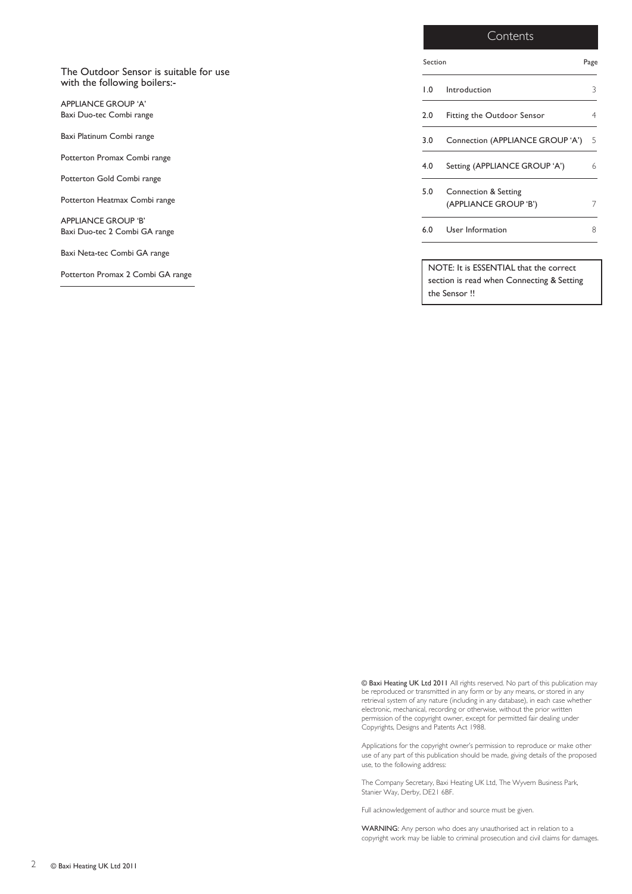|                                                                        | Contents                                                                                            |      |  |
|------------------------------------------------------------------------|-----------------------------------------------------------------------------------------------------|------|--|
|                                                                        | Section                                                                                             | Page |  |
| The Outdoor Sensor is suitable for use<br>with the following boilers:- | 1.0<br>Introduction                                                                                 | 3    |  |
| <b>APPLIANCE GROUP 'A'</b><br>Baxi Duo-tec Combi range                 | Fitting the Outdoor Sensor<br>2.0                                                                   |      |  |
| Baxi Platinum Combi range                                              | Connection (APPLIANCE GROUP 'A')<br>3.0                                                             |      |  |
| Potterton Promax Combi range                                           | Setting (APPLIANCE GROUP 'A')<br>4.0                                                                | 6    |  |
| Potterton Gold Combi range                                             |                                                                                                     |      |  |
| Potterton Heatmax Combi range                                          | 5.0<br>Connection & Setting<br>(APPLIANCE GROUP 'B')                                                | 7    |  |
| <b>APPLIANCE GROUP 'B'</b><br>Baxi Duo-tec 2 Combi GA range            | User Information<br>6.0                                                                             | 8    |  |
| Baxi Neta-tec Combi GA range                                           |                                                                                                     |      |  |
| Potterton Promax 2 Combi GA range                                      | NOTE: It is ESSENTIAL that the correct<br>section is read when Connecting & Setting<br>the Sensor!! |      |  |

© Baxi Heating UK Ltd 2011 All rights reserved. No part of this publication may be reproduced or transmitted in any form or by any means, or stored in any retrieval system of any nature (including in any database), in each case whether electronic, mechanical, recording or otherwise, without the prior written permission of the copyright owner, except for permitted fair dealing under Copyrights, Designs and Patents Act 1988.

Applications for the copyright owner's permission to reproduce or make other use of any part of this publication should be made, giving details of the proposed use, to the following address:

The Company Secretary, Baxi Heating UK Ltd, The Wyvern Business Park, Stanier Way, Derby, DE21 6BF.

Full acknowledgement of author and source must be given.

WARNING: Any person who does any unauthorised act in relation to a copyright work may be liable to criminal prosecution and civil claims for damages.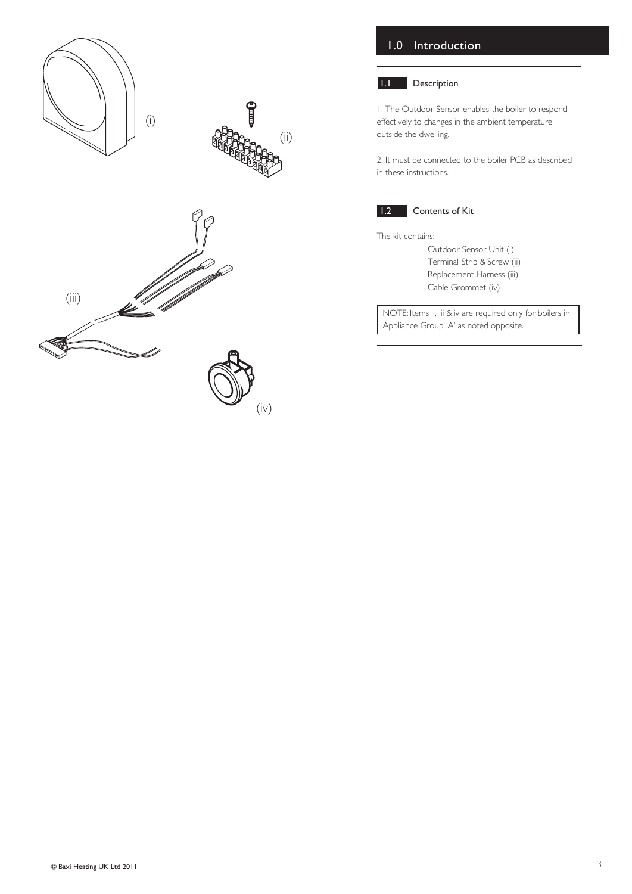

# 1.0 Introduction

### 1.1 Description

1. The Outdoor Sensor enables the boiler to respond effectively to changes in the ambient temperature outside the dwelling.

2. It must be connected to the boiler PCB as described in these instructions.



## **1.2** Contents of Kit

The kit contains:-

Outdoor Sensor Unit (i) Terminal Strip & Screw (ii) Replacement Harness (iii) Cable Grommet (iv)

NOTE: Items ii, iii & iv are required only for boilers in Appliance Group 'A' as noted opposite.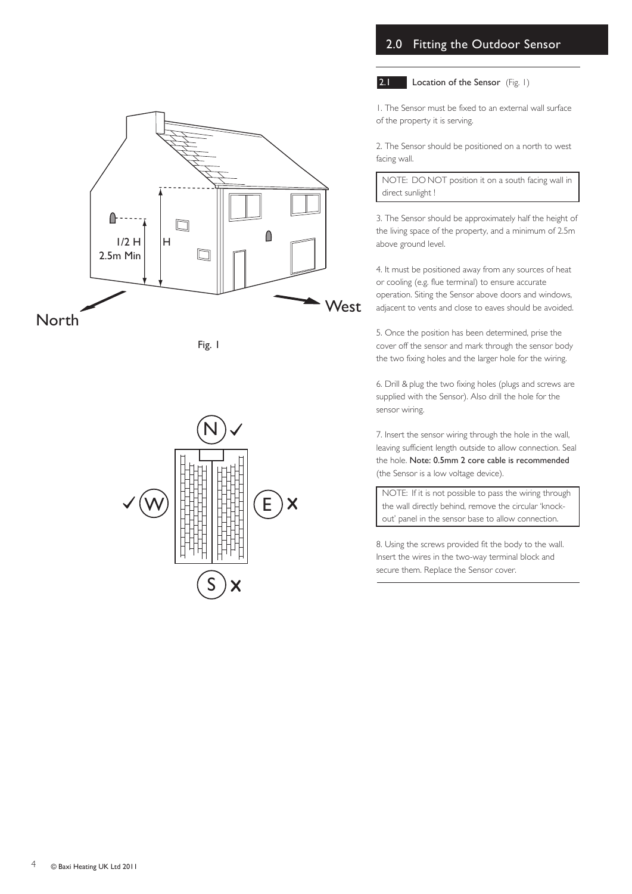# 2.0 Fitting the Outdoor Sensor



2.1 Location of the Sensor (Fig. 1)



2. The Sensor should be positioned on a north to west facing wall.

NOTE: DO NOT position it on a south facing wall in direct sunlight !

3. The Sensor should be approximately half the height of the living space of the property, and a minimum of 2.5m above ground level.

4. It must be positioned away from any sources of heat or cooling (e.g. flue terminal) to ensure accurate operation. Siting the Sensor above doors and windows, adjacent to vents and close to eaves should be avoided.

5. Once the position has been determined, prise the cover off the sensor and mark through the sensor body the two fixing holes and the larger hole for the wiring.

6. Drill & plug the two fixing holes (plugs and screws are supplied with the Sensor). Also drill the hole for the sensor wiring.

7. Insert the sensor wiring through the hole in the wall, leaving sufficient length outside to allow connection. Seal the hole. Note: 0.5mm 2 core cable is recommended (the Sensor is a low voltage device).

NOTE: If it is not possible to pass the wiring through the wall directly behind, remove the circular 'knockout' panel in the sensor base to allow connection.

8. Using the screws provided fit the body to the wall. Insert the wires in the two-way terminal block and secure them. Replace the Sensor cover.





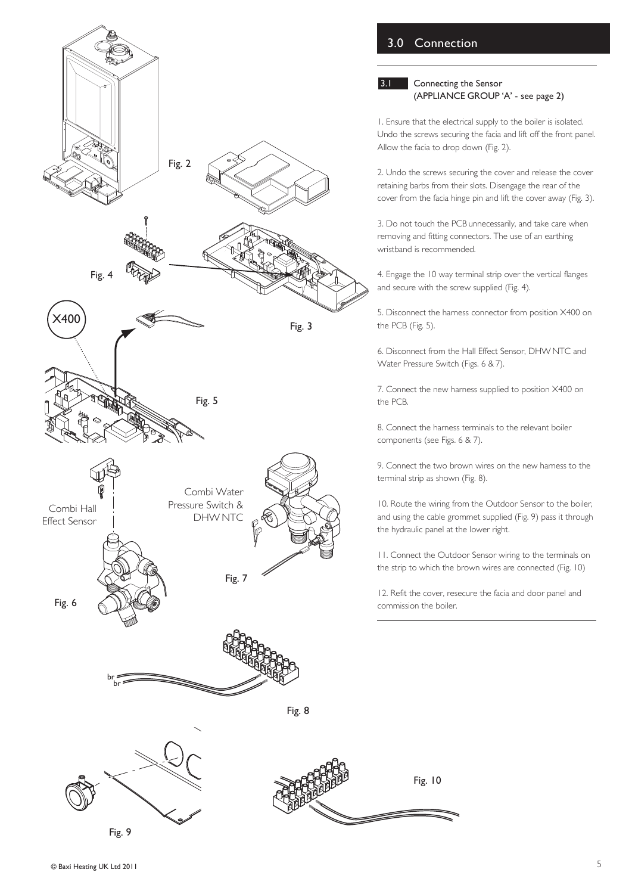

# © Baxi Heating UK Ltd 2011 5

# 3.0 Connection

#### **3.1** Connecting the Sensor (APPLIANCE GROUP 'A' - see page 2)

1. Ensure that the electrical supply to the boiler is isolated. Undo the screws securing the facia and lift off the front panel. Allow the facia to drop down (Fig. 2).

2. Undo the screws securing the cover and release the cover retaining barbs from their slots. Disengage the rear of the cover from the facia hinge pin and lift the cover away (Fig. 3).

3. Do not touch the PCB unnecessarily, and take care when removing and fitting connectors. The use of an earthing wristband is recommended.

4. Engage the 10 way terminal strip over the vertical flanges and secure with the screw supplied (Fig. 4).

5. Disconnect the harness connector from position X400 on the PCB (Fig. 5).

6. Disconnect from the Hall Effect Sensor, DHW NTC and Water Pressure Switch (Figs. 6 & 7).

7. Connect the new harness supplied to position X400 on the PCB.

8. Connect the harness terminals to the relevant boiler components (see Figs. 6 & 7).

9. Connect the two brown wires on the new harness to the terminal strip as shown (Fig. 8).

10. Route the wiring from the Outdoor Sensor to the boiler, and using the cable grommet supplied (Fig. 9) pass it through the hydraulic panel at the lower right.

11. Connect the Outdoor Sensor wiring to the terminals on the strip to which the brown wires are connected (Fig. 10)

12. Refit the cover, resecure the facia and door panel and commission the boiler.

Fig. 10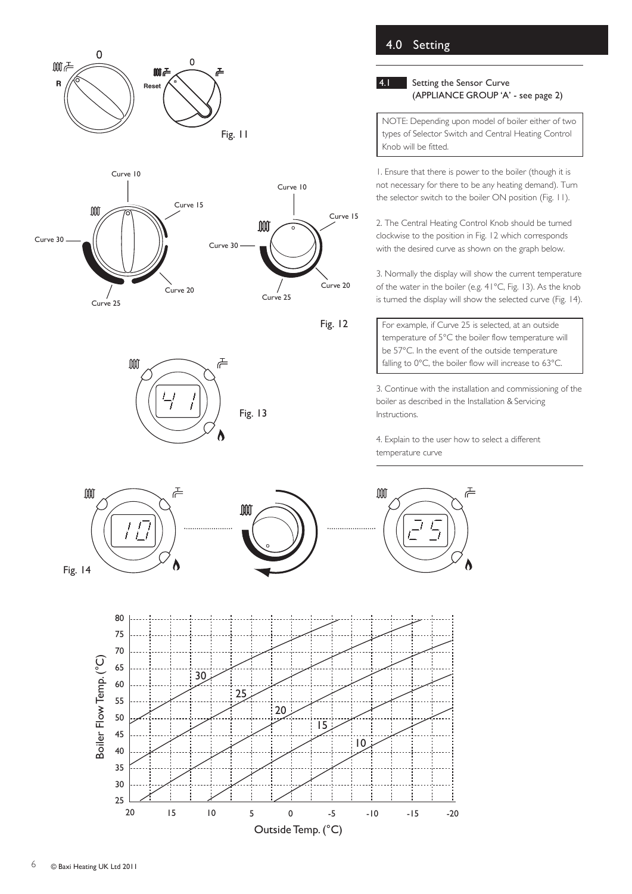



![](_page_5_Figure_2.jpeg)

![](_page_5_Figure_3.jpeg)

# 4.1 Setting the Sensor Curve (APPLIANCE GROUP 'A' - see page 2)

NOTE: Depending upon model of boiler either of two types of Selector Switch and Central Heating Control Knob will be fitted.

1. Ensure that there is power to the boiler (though it is not necessary for there to be any heating demand). Turn the selector switch to the boiler ON position (Fig. 11).

2. The Central Heating Control Knob should be turned clockwise to the position in Fig. 12 which corresponds with the desired curve as shown on the graph below.

3. Normally the display will show the current temperature of the water in the boiler (e.g. 41°C, Fig. 13). As the knob is turned the display will show the selected curve (Fig. 14).

For example, if Curve 25 is selected, at an outside temperature of 5°C the boiler flow temperature will be 57°C. In the event of the outside temperature falling to 0°C, the boiler flow will increase to 63°C.

3. Continue with the installation and commissioning of the boiler as described in the Installation & Servicing Instructions.

4. Explain to the user how to select a different temperature curve

![](_page_5_Figure_12.jpeg)

**OOO** 

![](_page_5_Figure_13.jpeg)

Fig. 13

주

Λ

 $M<sub>0</sub>$ 주

![](_page_5_Figure_15.jpeg)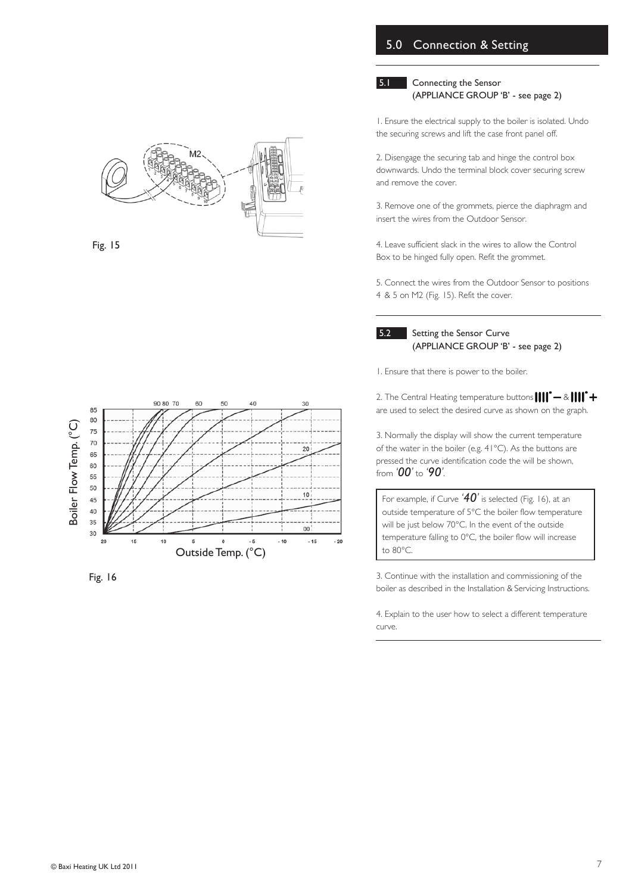# 5.0 Connection & Setting

#### 5.1 Connecting the Sensor (APPLIANCE GROUP 'B' - see page 2)

![](_page_6_Figure_2.jpeg)

Fig. 15

2. Disengage the securing tab and hinge the control box downwards. Undo the terminal block cover securing screw and remove the cover.

3. Remove one of the grommets, pierce the diaphragm and insert the wires from the Outdoor Sensor.

1. Ensure the electrical supply to the boiler is isolated. Undo the securing screws and lift the case front panel off.

4. Leave sufficient slack in the wires to allow the Control Box to be hinged fully open. Refit the grommet.

5. Connect the wires from the Outdoor Sensor to positions 4 & 5 on M2 (Fig. 15). Refit the cover.

**5.2** Setting the Sensor Curve

(APPLIANCE GROUP 'B' - see page 2)

1. Ensure that there is power to the boiler.

2. The Central Heating temperature buttons  $\left\| \right\| \left\| \right\| +$ are used to select the desired curve as shown on the graph.

3. Normally the display will show the current temperature of the water in the boiler (e.g. 41°C). As the buttons are pressed the curve identification code the will be shown, from *'00'* to *'90'*.

For example, if Curve *'40'* is selected (Fig. 16), at an outside temperature of 5°C the boiler flow temperature will be just below 70°C. In the event of the outside temperature falling to 0°C, the boiler flow will increase to 80°C.

3. Continue with the installation and commissioning of the boiler as described in the Installation & Servicing Instructions.

4. Explain to the user how to select a different temperature curve.

![](_page_6_Figure_16.jpeg)

Fig. 16